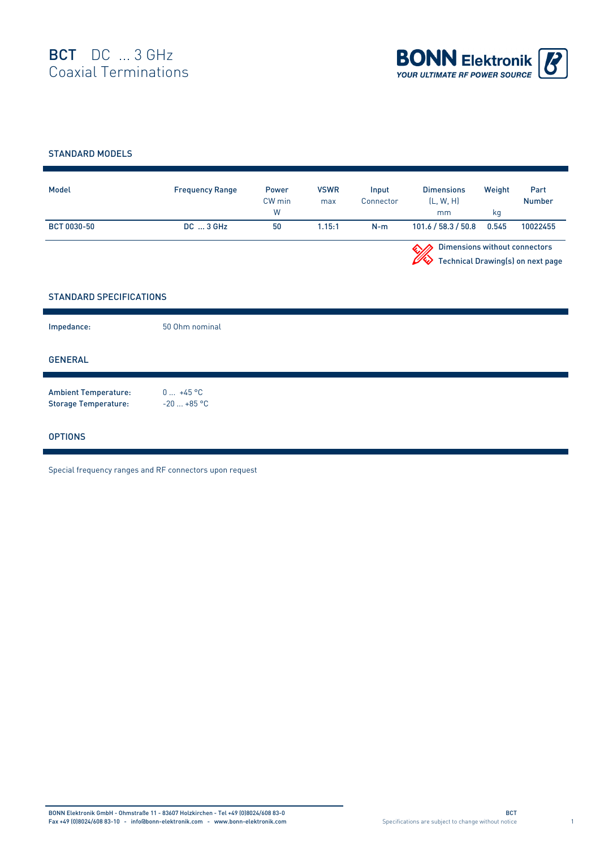

## STANDARD MODELS

| Model              | <b>Frequency Range</b> | Power<br>CW min<br>W | <b>VSWR</b><br>max | Input<br>Connector | <b>Dimensions</b><br>(L, W, H)<br>mm | Weight<br>ka | Part<br><b>Number</b>             |
|--------------------|------------------------|----------------------|--------------------|--------------------|--------------------------------------|--------------|-----------------------------------|
| <b>BCT 0030-50</b> | $DC \dots 3$ GHz       | 50                   | 1.15:1             | $N-m$              | 101.6 / 58.3 / 50.8                  | 0.545        | 10022455                          |
|                    |                        |                      |                    |                    | Dimensions without connectors        |              | Technical Drawing(s) on next page |

## STANDARD SPECIFICATIONS

| Impedance:                                                 | 50 Ohm nominal            |
|------------------------------------------------------------|---------------------------|
| <b>GENERAL</b>                                             |                           |
| <b>Ambient Temperature:</b><br><b>Storage Temperature:</b> | $0 +45 °C$<br>$-20+85$ °C |
| <b>OPTIONS</b>                                             |                           |

Special frequency ranges and RF connectors upon request